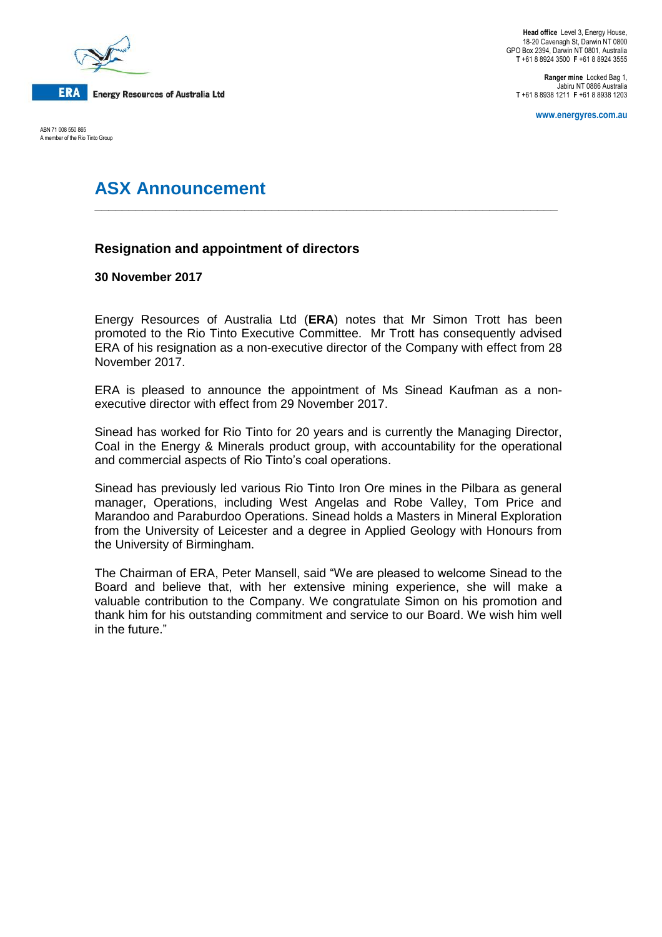

ABN 71 008 550 865 A member of the Rio Tinto Group

**Ranger mine** Locked Bag 1, Jabiru NT 0886 Australia **T** +61 8 8938 1211 **F** +61 8 8938 1203

**www.energyres.com.au**

# **ASX Announcement**

# **Resignation and appointment of directors**

# **30 November 2017**

Energy Resources of Australia Ltd (**ERA**) notes that Mr Simon Trott has been promoted to the Rio Tinto Executive Committee. Mr Trott has consequently advised ERA of his resignation as a non-executive director of the Company with effect from 28 November 2017.

**\_\_\_\_\_\_\_\_\_\_\_\_\_\_\_\_\_\_\_\_\_\_\_\_\_\_\_\_\_\_\_\_\_\_\_\_\_\_\_\_\_\_\_\_\_\_\_\_\_\_\_\_\_\_\_\_\_\_\_\_\_\_\_\_\_\_\_\_**

ERA is pleased to announce the appointment of Ms Sinead Kaufman as a nonexecutive director with effect from 29 November 2017.

Sinead has worked for Rio Tinto for 20 years and is currently the Managing Director, Coal in the Energy & Minerals product group, with accountability for the operational and commercial aspects of Rio Tinto's coal operations.

Sinead has previously led various Rio Tinto Iron Ore mines in the Pilbara as general manager, Operations, including West Angelas and Robe Valley, Tom Price and Marandoo and Paraburdoo Operations. Sinead holds a Masters in Mineral Exploration from the University of Leicester and a degree in Applied Geology with Honours from the University of Birmingham.

The Chairman of ERA, Peter Mansell, said "We are pleased to welcome Sinead to the Board and believe that, with her extensive mining experience, she will make a valuable contribution to the Company. We congratulate Simon on his promotion and thank him for his outstanding commitment and service to our Board. We wish him well in the future."